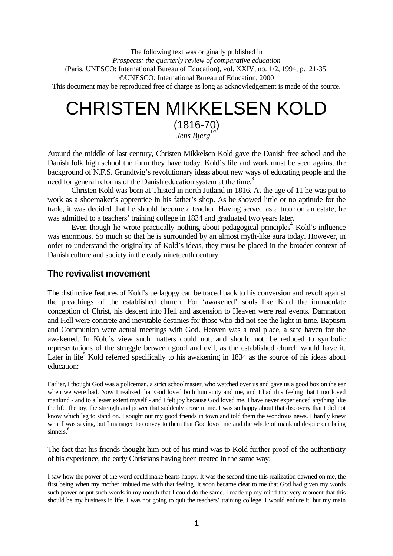The following text was originally published in *Prospects: the quarterly review of comparative education* (Paris, UNESCO: International Bureau of Education), vol. XXIV, no. 1/2, 1994, p. 21-35. ©UNESCO: International Bureau of Education, 2000 This document may be reproduced free of charge as long as acknowledgement is made of the source.

# CHRISTEN MIKKELSEN KOLD

(1816-70)  $Jens Bjerg^{1/2}$ 

Around the middle of last century, Christen Mikkelsen Kold gave the Danish free school and the Danish folk high school the form they have today. Kold's life and work must be seen against the background of N.F.S. Grundtvig's revolutionary ideas about new ways of educating people and the need for general reforms of the Danish education system at the time.<sup>3</sup>

Christen Kold was born at Thisted in north Jutland in 1816. At the age of 11 he was put to work as a shoemaker's apprentice in his father's shop. As he showed little or no aptitude for the trade, it was decided that he should become a teacher. Having served as a tutor on an estate, he was admitted to a teachers' training college in 1834 and graduated two years later.

Even though he wrote practically nothing about pedagogical principles<sup>4</sup> Kold's influence was enormous. So much so that he is surrounded by an almost myth-like aura today. However, in order to understand the originality of Kold's ideas, they must be placed in the broader context of Danish culture and society in the early nineteenth century.

# **The revivalist movement**

The distinctive features of Kold's pedagogy can be traced back to his conversion and revolt against the preachings of the established church. For 'awakened' souls like Kold the immaculate conception of Christ, his descent into Hell and ascension to Heaven were real events. Damnation and Hell were concrete and inevitable destinies for those who did not see the light in time. Baptism and Communion were actual meetings with God. Heaven was a real place, a safe haven for the awakened. In Kold's view such matters could not, and should not, be reduced to symbolic representations of the struggle between good and evil, as the established church would have it. Later in life<sup>5</sup> Kold referred specifically to his awakening in 1834 as the source of his ideas about education:

Earlier, I thought God was a policeman, a strict schoolmaster, who watched over us and gave us a good box on the ear when we were bad. Now I realized that God loved both humanity and me, and I had this feeling that I too loved mankind - and to a lesser extent myself - and I felt joy because God loved me. I have never experienced anything like the life, the joy, the strength and power that suddenly arose in me. I was so happy about that discovery that I did not know which leg to stand on. I sought out my good friends in town and told them the wondrous news. I hardly knew what I was saying, but I managed to convey to them that God loved me and the whole of mankind despite our being sinners.<sup>6</sup>

The fact that his friends thought him out of his mind was to Kold further proof of the authenticity of his experience, the early Christians having been treated in the same way:

I saw how the power of the word could make hearts happy. It was the second time this realization dawned on me, the first being when my mother imbued me with that feeling. It soon became clear to me that God had given my words such power or put such words in my mouth that I could do the same. I made up my mind that very moment that this should be my business in life. I was not going to quit the teachers' training college. I would endure it, but my main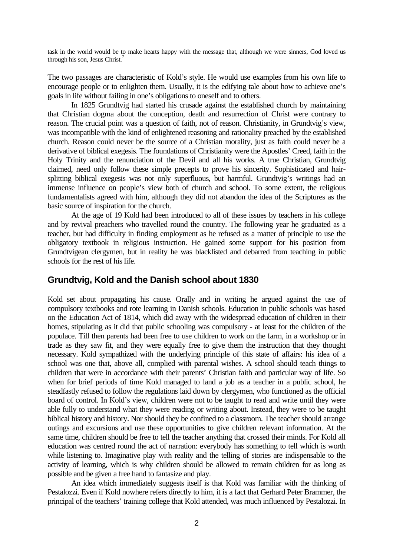task in the world would be to make hearts happy with the message that, although we were sinners, God loved us through his son, Jesus Christ.<sup>7</sup>

The two passages are characteristic of Kold's style. He would use examples from his own life to encourage people or to enlighten them. Usually, it is the edifying tale about how to achieve one's goals in life without failing in one's obligations to oneself and to others.

In 1825 Grundtvig had started his crusade against the established church by maintaining that Christian dogma about the conception, death and resurrection of Christ were contrary to reason. The crucial point was a question of faith, not of reason. Christianity, in Grundtvig's view, was incompatible with the kind of enlightened reasoning and rationality preached by the established church. Reason could never be the source of a Christian morality, just as faith could never be a derivative of biblical exegesis. The foundations of Christianity were the Apostles' Creed, faith in the Holy Trinity and the renunciation of the Devil and all his works. A true Christian, Grundtvig claimed, need only follow these simple precepts to prove his sincerity. Sophisticated and hairsplitting biblical exegesis was not only superfluous, but harmful. Grundtvig's writings had an immense influence on people's view both of church and school. To some extent, the religious fundamentalists agreed with him, although they did not abandon the idea of the Scriptures as the basic source of inspiration for the church.

At the age of 19 Kold had been introduced to all of these issues by teachers in his college and by revival preachers who travelled round the country. The following year he graduated as a teacher, but had difficulty in finding employment as he refused as a matter of principle to use the obligatory textbook in religious instruction. He gained some support for his position from Grundtvigean clergymen, but in reality he was blacklisted and debarred from teaching in public schools for the rest of his life.

## **Grundtvig, Kold and the Danish school about 1830**

Kold set about propagating his cause. Orally and in writing he argued against the use of compulsory textbooks and rote learning in Danish schools. Education in public schools was based on the Education Act of 1814, which did away with the widespread education of children in their homes, stipulating as it did that public schooling was compulsory - at least for the children of the populace. Till then parents had been free to use children to work on the farm, in a workshop or in trade as they saw fit, and they were equally free to give them the instruction that they thought necessary. Kold sympathized with the underlying principle of this state of affairs: his idea of a school was one that, above all, complied with parental wishes. A school should teach things to children that were in accordance with their parents' Christian faith and particular way of life. So when for brief periods of time Kold managed to land a job as a teacher in a public school, he steadfastly refused to follow the regulations laid down by clergymen, who functioned as the official board of control. In Kold's view, children were not to be taught to read and write until they were able fully to understand what they were reading or writing about. Instead, they were to be taught biblical history and history. Nor should they be confined to a classroom. The teacher should arrange outings and excursions and use these opportunities to give children relevant information. At the same time, children should be free to tell the teacher anything that crossed their minds. For Kold all education was centred round the act of narration: everybody has something to tell which is worth while listening to. Imaginative play with reality and the telling of stories are indispensable to the activity of learning, which is why children should be allowed to remain children for as long as possible and be given a free hand to fantasize and play.

An idea which immediately suggests itself is that Kold was familiar with the thinking of Pestalozzi. Even if Kold nowhere refers directly to him, it is a fact that Gerhard Peter Brammer, the principal of the teachers' training college that Kold attended, was much influenced by Pestalozzi. In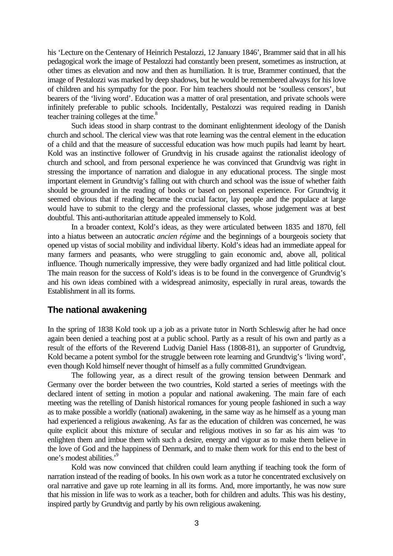his 'Lecture on the Centenary of Heinrich Pestalozzi, 12 January 1846', Brammer said that in all his pedagogical work the image of Pestalozzi had constantly been present, sometimes as instruction, at other times as elevation and now and then as humiliation. It is true, Brammer continued, that the image of Pestalozzi was marked by deep shadows, but he would be remembered always for his love of children and his sympathy for the poor. For him teachers should not be 'soulless censors', but bearers of the 'living word'. Education was a matter of oral presentation, and private schools were infinitely preferable to public schools. Incidentally, Pestalozzi was required reading in Danish teacher training colleges at the time.<sup>8</sup>

Such ideas stood in sharp contrast to the dominant enlightenment ideology of the Danish church and school. The clerical view was that rote learning was the central element in the education of a child and that the measure of successful education was how much pupils had learnt by heart. Kold was an instinctive follower of Grundtvig in his crusade against the rationalist ideology of church and school, and from personal experience he was convinced that Grundtvig was right in stressing the importance of narration and dialogue in any educational process. The single most important element in Grundtvig's falling out with church and school was the issue of whether faith should be grounded in the reading of books or based on personal experience. For Grundtvig it seemed obvious that if reading became the crucial factor, lay people and the populace at large would have to submit to the clergy and the professional classes, whose judgement was at best doubtful. This anti-authoritarian attitude appealed immensely to Kold.

In a broader context, Kold's ideas, as they were articulated between 1835 and 1870, fell into a hiatus between an autocratic *ancien régime* and the beginnings of a bourgeois society that opened up vistas of social mobility and individual liberty. Kold's ideas had an immediate appeal for many farmers and peasants, who were struggling to gain economic and, above all, political influence. Though numerically impressive, they were badly organized and had little political clout. The main reason for the success of Kold's ideas is to be found in the convergence of Grundtvig's and his own ideas combined with a widespread animosity, especially in rural areas, towards the Establishment in all its forms.

# **The national awakening**

In the spring of 1838 Kold took up a job as a private tutor in North Schleswig after he had once again been denied a teaching post at a public school. Partly as a result of his own and partly as a result of the efforts of the Reverend Ludvig Daniel Hass (1808-81), an supporter of Grundtvig, Kold became a potent symbol for the struggle between rote learning and Grundtvig's 'living word', even though Kold himself never thought of himself as a fully committed Grundtvigean.

The following year, as a direct result of the growing tension between Denmark and Germany over the border between the two countries, Kold started a series of meetings with the declared intent of setting in motion a popular and national awakening. The main fare of each meeting was the retelling of Danish historical romances for young people fashioned in such a way as to make possible a worldly (national) awakening, in the same way as he himself as a young man had experienced a religious awakening. As far as the education of children was concerned, he was quite explicit about this mixture of secular and religious motives in so far as his aim was 'to enlighten them and imbue them with such a desire, energy and vigour as to make them believe in the love of God and the happiness of Denmark, and to make them work for this end to the best of one's modest abilities.<sup>9</sup>

Kold was now convinced that children could learn anything if teaching took the form of narration instead of the reading of books. In his own work as a tutor he concentrated exclusively on oral narrative and gave up rote learning in all its forms. And, more importantly, he was now sure that his mission in life was to work as a teacher, both for children and adults. This was his destiny, inspired partly by Grundtvig and partly by his own religious awakening.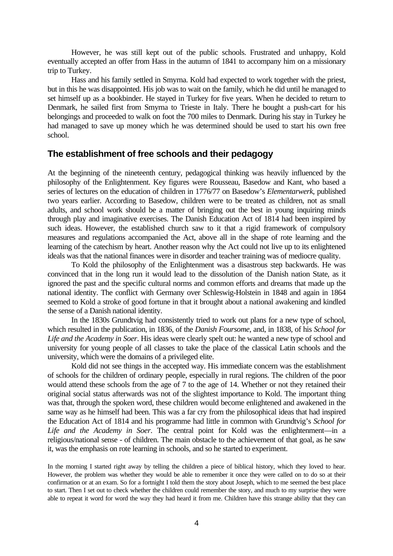However, he was still kept out of the public schools. Frustrated and unhappy, Kold eventually accepted an offer from Hass in the autumn of 1841 to accompany him on a missionary trip to Turkey.

Hass and his family settled in Smyrna. Kold had expected to work together with the priest, but in this he was disappointed. His job was to wait on the family, which he did until he managed to set himself up as a bookbinder. He stayed in Turkey for five years. When he decided to return to Denmark, he sailed first from Smyrna to Trieste in Italy. There he bought a push-cart for his belongings and proceeded to walk on foot the 700 miles to Denmark. During his stay in Turkey he had managed to save up money which he was determined should be used to start his own free school.

## **The establishment of free schools and their pedagogy**

At the beginning of the nineteenth century, pedagogical thinking was heavily influenced by the philosophy of the Enlightenment. Key figures were Rousseau, Basedow and Kant, who based a series of lectures on the education of children in 1776/77 on Basedow's *Elementarwerk*, published two years earlier. According to Basedow, children were to be treated as children, not as small adults, and school work should be a matter of bringing out the best in young inquiring minds through play and imaginative exercises. The Danish Education Act of 1814 had been inspired by such ideas. However, the established church saw to it that a rigid framework of compulsory measures and regulations accompanied the Act, above all in the shape of rote learning and the learning of the catechism by heart. Another reason why the Act could not live up to its enlightened ideals was that the national finances were in disorder and teacher training was of mediocre quality.

To Kold the philosophy of the Enlightenment was a disastrous step backwards. He was convinced that in the long run it would lead to the dissolution of the Danish nation State, as it ignored the past and the specific cultural norms and common efforts and dreams that made up the national identity. The conflict with Germany over Schleswig-Holstein in 1848 and again in 1864 seemed to Kold a stroke of good fortune in that it brought about a national awakening and kindled the sense of a Danish national identity.

In the 1830s Grundtvig had consistently tried to work out plans for a new type of school, which resulted in the publication, in 1836, of the *Danish Foursome*, and, in 1838, of his *School for Life and the Academy in Soer*. His ideas were clearly spelt out: he wanted a new type of school and university for young people of all classes to take the place of the classical Latin schools and the university, which were the domains of a privileged elite.

Kold did not see things in the accepted way. His immediate concern was the establishment of schools for the children of ordinary people, especially in rural regions. The children of the poor would attend these schools from the age of 7 to the age of 14. Whether or not they retained their original social status afterwards was not of the slightest importance to Kold. The important thing was that, through the spoken word, these children would become enlightened and awakened in the same way as he himself had been. This was a far cry from the philosophical ideas that had inspired the Education Act of 1814 and his programme had little in common with Grundtvig's *School for Life and the Academy in Soer*. The central point for Kold was the enlightenment—in a religious/national sense - of children. The main obstacle to the achievement of that goal, as he saw it, was the emphasis on rote learning in schools, and so he started to experiment.

In the morning I started right away by telling the children a piece of biblical history, which they loved to hear. However, the problem was whether they would be able to remember it once they were called on to do so at their confirmation or at an exam. So for a fortnight I told them the story about Joseph, which to me seemed the best place to start. Then I set out to check whether the children could remember the story, and much to my surprise they were able to repeat it word for word the way they had heard it from me. Children have this strange ability that they can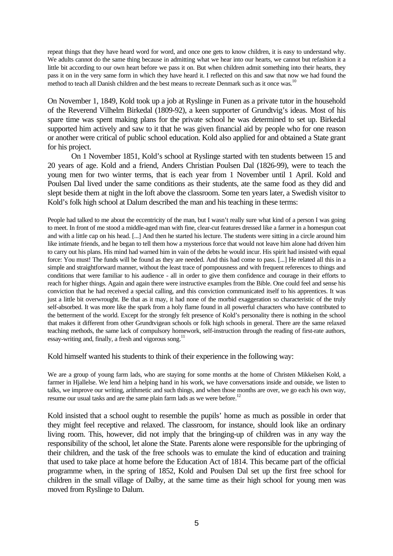repeat things that they have heard word for word, and once one gets to know children, it is easy to understand why. We adults cannot do the same thing because in admitting what we hear into our hearts, we cannot but refashion it a little bit according to our own heart before we pass it on. But when children admit something into their hearts, they pass it on in the very same form in which they have heard it. I reflected on this and saw that now we had found the method to teach all Danish children and the best means to recreate Denmark such as it once was.<sup>10</sup>

On November 1, 1849, Kold took up a job at Ryslinge in Funen as a private tutor in the household of the Reverend Vilhelm Birkedal (1809-92), a keen supporter of Grundtvig's ideas. Most of his spare time was spent making plans for the private school he was determined to set up. Birkedal supported him actively and saw to it that he was given financial aid by people who for one reason or another were critical of public school education. Kold also applied for and obtained a State grant for his project.

On 1 November 1851, Kold's school at Ryslinge started with ten students between 15 and 20 years of age. Kold and a friend, Anders Christian Poulsen Dal (1826-99), were to teach the young men for two winter terms, that is each year from 1 November until 1 April. Kold and Poulsen Dal lived under the same conditions as their students, ate the same food as they did and slept beside them at night in the loft above the classroom. Some ten years later, a Swedish visitor to Kold's folk high school at Dalum described the man and his teaching in these terms:

People had talked to me about the eccentricity of the man, but I wasn't really sure what kind of a person I was going to meet. In front of me stood a middle-aged man with fine, clear-cut features dressed like a farmer in a homespun coat and with a little cap on his head. [...] And then he started his lecture. The students were sitting in a circle around him like intimate friends, and he began to tell them how a mysterious force that would not leave him alone had driven him to carry out his plans. His mind had warned him in vain of the debts he would incur. His spirit had insisted with equal force: You must! The funds will be found as they are needed. And this had come to pass. [...] He related all this in a simple and straightforward manner, without the least trace of pompousness and with frequent references to things and conditions that were familiar to his audience - all in order to give them confidence and courage in their efforts to reach for higher things. Again and again there were instructive examples from the Bible. One could feel and sense his conviction that he had received a special calling, and this conviction communicated itself to his apprentices. It was just a little bit overwrought. Be that as it may, it had none of the morbid exaggeration so characteristic of the truly self-absorbed. It was more like the spark from a holy flame found in all powerful characters who have contributed to the betterment of the world. Except for the strongly felt presence of Kold's personality there is nothing in the school that makes it different from other Grundtvigean schools or folk high schools in general. There are the same relaxed teaching methods, the same lack of compulsory homework, self-instruction through the reading of first-rate authors, essay-writing and, finally, a fresh and vigorous song.<sup>11</sup>

Kold himself wanted his students to think of their experience in the following way:

We are a group of young farm lads, who are staying for some months at the home of Christen Mikkelsen Kold, a farmer in Hjallelse. We lend him a helping hand in his work, we have conversations inside and outside, we listen to talks, we improve our writing, arithmetic and such things, and when those months are over, we go each his own way, resume our usual tasks and are the same plain farm lads as we were before.<sup>12</sup>

Kold insisted that a school ought to resemble the pupils' home as much as possible in order that they might feel receptive and relaxed. The classroom, for instance, should look like an ordinary living room. This, however, did not imply that the bringing-up of children was in any way the responsibility of the school, let alone the State. Parents alone were responsible for the upbringing of their children, and the task of the free schools was to emulate the kind of education and training that used to take place at home before the Education Act of 1814. This became part of the official programme when, in the spring of 1852, Kold and Poulsen Dal set up the first free school for children in the small village of Dalby, at the same time as their high school for young men was moved from Ryslinge to Dalum.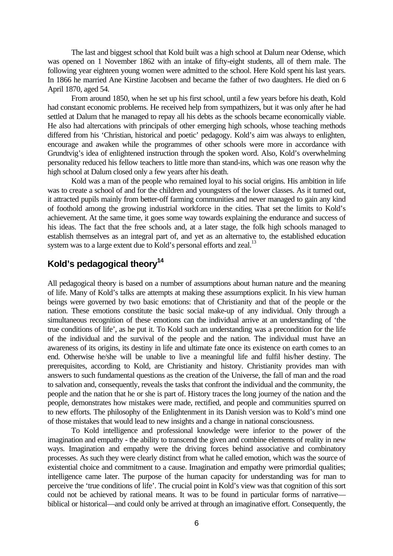The last and biggest school that Kold built was a high school at Dalum near Odense, which was opened on 1 November 1862 with an intake of fifty-eight students, all of them male. The following year eighteen young women were admitted to the school. Here Kold spent his last years. In 1866 he married Ane Kirstine Jacobsen and became the father of two daughters. He died on 6 April 1870, aged 54.

From around 1850, when he set up his first school, until a few years before his death, Kold had constant economic problems. He received help from sympathizers, but it was only after he had settled at Dalum that he managed to repay all his debts as the schools became economically viable. He also had altercations with principals of other emerging high schools, whose teaching methods differed from his 'Christian, historical and poetic' pedagogy. Kold's aim was always to enlighten, encourage and awaken while the programmes of other schools were more in accordance with Grundtvig's idea of enlightened instruction through the spoken word. Also, Kold's overwhelming personality reduced his fellow teachers to little more than stand-ins, which was one reason why the high school at Dalum closed only a few years after his death.

Kold was a man of the people who remained loyal to his social origins. His ambition in life was to create a school of and for the children and youngsters of the lower classes. As it turned out, it attracted pupils mainly from better-off farming communities and never managed to gain any kind of foothold among the growing industrial workforce in the cities. That set the limits to Kold's achievement. At the same time, it goes some way towards explaining the endurance and success of his ideas. The fact that the free schools and, at a later stage, the folk high schools managed to establish themselves as an integral part of, and yet as an alternative to, the established education system was to a large extent due to Kold's personal efforts and zeal.<sup>13</sup>

# **Kold's pedagogical theory<sup>14</sup>**

All pedagogical theory is based on a number of assumptions about human nature and the meaning of life. Many of Kold's talks are attempts at making these assumptions explicit. In his view human beings were governed by two basic emotions: that of Christianity and that of the people or the nation. These emotions constitute the basic social make-up of any individual. Only through a simultaneous recognition of these emotions can the individual arrive at an understanding of 'the true conditions of life', as he put it. To Kold such an understanding was a precondition for the life of the individual and the survival of the people and the nation. The individual must have an awareness of its origins, its destiny in life and ultimate fate once its existence on earth comes to an end. Otherwise he/she will be unable to live a meaningful life and fulfil his/her destiny. The prerequisites, according to Kold, are Christianity and history. Christianity provides man with answers to such fundamental questions as the creation of the Universe, the fall of man and the road to salvation and, consequently, reveals the tasks that confront the individual and the community, the people and the nation that he or she is part of. History traces the long journey of the nation and the people, demonstrates how mistakes were made, rectified, and people and communities spurred on to new efforts. The philosophy of the Enlightenment in its Danish version was to Kold's mind one of those mistakes that would lead to new insights and a change in national consciousness.

To Kold intelligence and professional knowledge were inferior to the power of the imagination and empathy - the ability to transcend the given and combine elements of reality in new ways. Imagination and empathy were the driving forces behind associative and combinatory processes. As such they were clearly distinct from what he called emotion, which was the source of existential choice and commitment to a cause. Imagination and empathy were primordial qualities; intelligence came later. The purpose of the human capacity for understanding was for man to perceive the 'true conditions of life'. The crucial point in Kold's view was that cognition of this sort could not be achieved by rational means. It was to be found in particular forms of narrative biblical or historical—and could only be arrived at through an imaginative effort. Consequently, the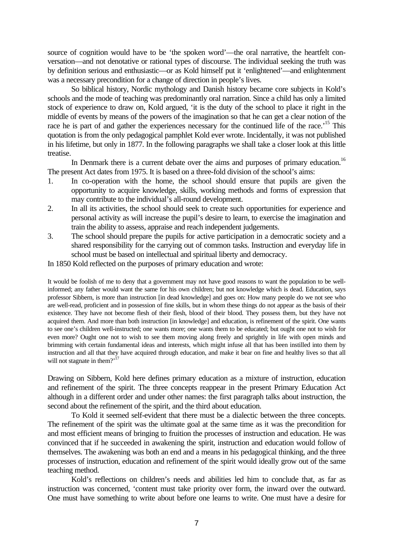source of cognition would have to be 'the spoken word'—the oral narrative, the heartfelt conversation—and not denotative or rational types of discourse. The individual seeking the truth was by definition serious and enthusiastic—or as Kold himself put it 'enlightened'—and enlightenment was a necessary precondition for a change of direction in people's lives.

So biblical history, Nordic mythology and Danish history became core subjects in Kold's schools and the mode of teaching was predominantly oral narration. Since a child has only a limited stock of experience to draw on, Kold argued, 'it is the duty of the school to place it right in the middle of events by means of the powers of the imagination so that he can get a clear notion of the race he is part of and gather the experiences necessary for the continued life of the race.<sup>15</sup> This quotation is from the only pedagogical pamphlet Kold ever wrote. Incidentally, it was not published in his lifetime, but only in 1877. In the following paragraphs we shall take a closer look at this little treatise.

In Denmark there is a current debate over the aims and purposes of primary education.<sup>16</sup> The present Act dates from 1975. It is based on a three-fold division of the school's aims:

- 1. In co-operation with the home, the school should ensure that pupils are given the opportunity to acquire knowledge, skills, working methods and forms of expression that may contribute to the individual's all-round development.
- 2. In all its activities, the school should seek to create such opportunities for experience and personal activity as will increase the pupil's desire to learn, to exercise the imagination and train the ability to assess, appraise and reach independent judgements.
- 3. The school should prepare the pupils for active participation in a democratic society and a shared responsibility for the carrying out of common tasks. Instruction and everyday life in school must be based on intellectual and spiritual liberty and democracy.

In 1850 Kold reflected on the purposes of primary education and wrote:

It would be foolish of me to deny that a government may not have good reasons to want the population to be wellinformed; any father would want the same for his own children; but not knowledge which is dead. Education, says professor Sibbern, is more than instruction [in dead knowledge] and goes on: How many people do we not see who are well-read, proficient and in possession of fine skills, but in whom these things do not appear as the basis of their existence. They have not become flesh of their flesh, blood of their blood. They possess them, but they have not acquired them. And more than both instruction [in knowledge] and education, is refinement of the spirit. One wants to see one's children well-instructed; one wants more; one wants them to be educated; but ought one not to wish for even more? Ought one not to wish to see them moving along freely and sprightly in life with open minds and brimming with certain fundamental ideas and interests, which might infuse all that has been instilled into them by instruction and all that they have acquired through education, and make it bear on fine and healthy lives so that all will not stagnate in them?'

Drawing on Sibbern, Kold here defines primary education as a mixture of instruction, education and refinement of the spirit. The three concepts reappear in the present Primary Education Act although in a different order and under other names: the first paragraph talks about instruction, the second about the refinement of the spirit, and the third about education.

To Kold it seemed self-evident that there must be a dialectic between the three concepts. The refinement of the spirit was the ultimate goal at the same time as it was the precondition for and most efficient means of bringing to fruition the processes of instruction and education. He was convinced that if he succeeded in awakening the spirit, instruction and education would follow of themselves. The awakening was both an end and a means in his pedagogical thinking, and the three processes of instruction, education and refinement of the spirit would ideally grow out of the same teaching method.

Kold's reflections on children's needs and abilities led him to conclude that, as far as instruction was concerned, 'content must take priority over form, the inward over the outward. One must have something to write about before one learns to write. One must have a desire for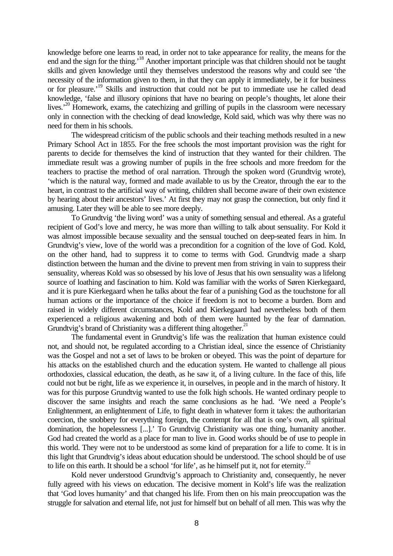knowledge before one learns to read, in order not to take appearance for reality, the means for the end and the sign for the thing.'<sup>18</sup> Another important principle was that children should not be taught skills and given knowledge until they themselves understood the reasons why and could see 'the necessity of the information given to them, in that they can apply it immediately, be it for business or for pleasure.<sup>19</sup> Skills and instruction that could not be put to immediate use he called dead knowledge, 'false and illusory opinions that have no bearing on people's thoughts, let alone their lives.<sup>20</sup> Homework, exams, the catechizing and grilling of pupils in the classroom were necessary only in connection with the checking of dead knowledge, Kold said, which was why there was no need for them in his schools.

The widespread criticism of the public schools and their teaching methods resulted in a new Primary School Act in 1855. For the free schools the most important provision was the right for parents to decide for themselves the kind of instruction that they wanted for their children. The immediate result was a growing number of pupils in the free schools and more freedom for the teachers to practise the method of oral narration. Through the spoken word (Grundtvig wrote), 'which is the natural way, formed and made available to us by the Creator, through the ear to the heart, in contrast to the artificial way of writing, children shall become aware of their own existence by hearing about their ancestors' lives.' At first they may not grasp the connection, but only find it amusing. Later they will be able to see more deeply.

To Grundtvig 'the living word' was a unity of something sensual and ethereal. As a grateful recipient of God's love and mercy, he was more than willing to talk about sensuality. For Kold it was almost impossible because sexuality and the sensual touched on deep-seated fears in him. In Grundtvig's view, love of the world was a precondition for a cognition of the love of God. Kold, on the other hand, had to suppress it to come to terms with God. Grundtvig made a sharp distinction between the human and the divine to prevent men from striving in vain to suppress their sensuality, whereas Kold was so obsessed by his love of Jesus that his own sensuality was a lifelong source of loathing and fascination to him. Kold was familiar with the works of Søren Kierkegaard, and it is pure Kierkegaard when he talks about the fear of a punishing God as the touchstone for all human actions or the importance of the choice if freedom is not to become a burden. Born and raised in widely different circumstances, Kold and Kierkegaard had nevertheless both of them experienced a religious awakening and both of them were haunted by the fear of damnation. Grundtvig's brand of Christianity was a different thing altogether.<sup>21</sup>

The fundamental event in Grundtvig's life was the realization that human existence could not, and should not, be regulated according to a Christian ideal, since the essence of Christianity was the Gospel and not a set of laws to be broken or obeyed. This was the point of departure for his attacks on the established church and the education system. He wanted to challenge all pious orthodoxies, classical education, the death, as he saw it, of a living culture. In the face of this, life could not but be right, life as we experience it, in ourselves, in people and in the march of history. It was for this purpose Grundtvig wanted to use the folk high schools. He wanted ordinary people to discover the same insights and reach the same conclusions as he had. 'We need a People's Enlightenment, an enlightenment of Life, to fight death in whatever form it takes: the authoritarian coercion, the snobbery for everything foreign, the contempt for all that is one's own, all spiritual domination, the hopelessness [...].' To Grundtvig Christianity was one thing, humanity another. God had created the world as a place for man to live in. Good works should be of use to people in this world. They were not to be understood as some kind of preparation for a life to come. It is in this light that Grundtvig's ideas about education should be understood. The school should be of use to life on this earth. It should be a school 'for life', as he himself put it, not for eternity. $2^2$ 

Kold never understood Grundtvig's approach to Christianity and, consequently, he never fully agreed with his views on education. The decisive moment in Kold's life was the realization that 'God loves humanity' and that changed his life. From then on his main preoccupation was the struggle for salvation and eternal life, not just for himself but on behalf of all men. This was why the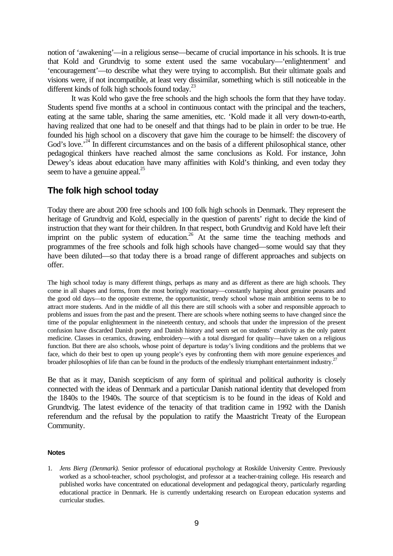notion of 'awakening'—in a religious sense—became of crucial importance in his schools. It is true that Kold and Grundtvig to some extent used the same vocabulary—'enlightenment' and 'encouragement'—to describe what they were trying to accomplish. But their ultimate goals and visions were, if not incompatible, at least very dissimilar, something which is still noticeable in the different kinds of folk high schools found today. $^{23}$ 

It was Kold who gave the free schools and the high schools the form that they have today. Students spend five months at a school in continuous contact with the principal and the teachers, eating at the same table, sharing the same amenities, etc. 'Kold made it all very down-to-earth, having realized that one had to be oneself and that things had to be plain in order to be true. He founded his high school on a discovery that gave him the courage to be himself: the discovery of God's love.<sup>24</sup> In different circumstances and on the basis of a different philosophical stance, other pedagogical thinkers have reached almost the same conclusions as Kold. For instance, John Dewey's ideas about education have many affinities with Kold's thinking, and even today they seem to have a genuine appeal. $^{25}$ 

# **The folk high school today**

Today there are about 200 free schools and 100 folk high schools in Denmark. They represent the heritage of Grundtvig and Kold, especially in the question of parents' right to decide the kind of instruction that they want for their children. In that respect, both Grundtvig and Kold have left their imprint on the public system of education.<sup>26</sup> At the same time the teaching methods and programmes of the free schools and folk high schools have changed—some would say that they have been diluted—so that today there is a broad range of different approaches and subjects on offer.

The high school today is many different things, perhaps as many and as different as there are high schools. They come in all shapes and forms, from the most boringly reactionary—constantly harping about genuine peasants and the good old days—to the opposite extreme, the opportunistic, trendy school whose main ambition seems to be to attract more students. And in the middle of all this there are still schools with a sober and responsible approach to problems and issues from the past and the present. There are schools where nothing seems to have changed since the time of the popular enlightenment in the nineteenth century, and schools that under the impression of the present confusion have discarded Danish poetry and Danish history and seem set on students' creativity as the only patent medicine. Classes in ceramics, drawing, embroidery—with a total disregard for quality—have taken on a religious function. But there are also schools, whose point of departure is today's living conditions and the problems that we face, which do their best to open up young people's eyes by confronting them with more genuine experiences and broader philosophies of life than can be found in the products of the endlessly triumphant entertainment industry.<sup>2</sup>

Be that as it may, Danish scepticism of any form of spiritual and political authority is closely connected with the ideas of Denmark and a particular Danish national identity that developed from the 1840s to the 1940s. The source of that scepticism is to be found in the ideas of Kold and Grundtvig. The latest evidence of the tenacity of that tradition came in 1992 with the Danish referendum and the refusal by the population to ratify the Maastricht Treaty of the European Community.

## **Notes**

1. *Jens Bierg (Denmark).* Senior professor of educational psychology at Roskilde University Centre. Previously worked as a school-teacher, school psychologist, and professor at a teacher-training college. His research and published works have concentrated on educational development and pedagogical theory, particularly regarding educational practice in Denmark. He is currently undertaking research on European education systems and curricular studies.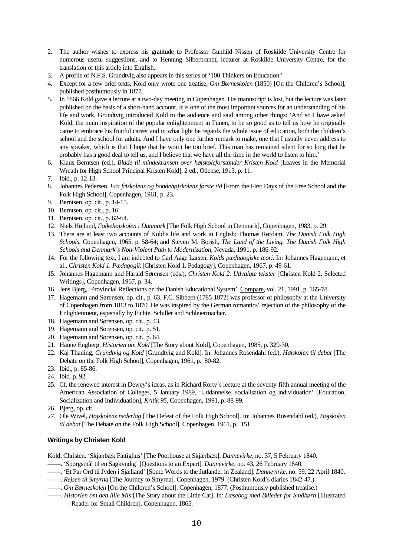- 2. The author wishes to express his gratitude to Professor Gunhild Nissen of Roskilde University Centre for numerous useful suggestions, and to Henning Silberbrandt, lecturer at Roskilde University Centre, for the translation of this article into English.
- 3. A profile of N.F.S. Grundtvig also appears in this series of '100 Thinkers on Education.'
- 4. Except for a few brief texts, Kold only wrote one treatise, *Om Børneskolen* (1850) [On the Children's School], published posthumously in 1877.
- 5. In 1866 Kold gave a lecture at a two-day meeting in Copenhagen. His manuscript is lost, but the lecture was later published on the basis of a short-hand account. It is one of the most important sources for an understanding of his life and work. Grundtvig introduced Kold to the audience and said among other things: 'And so I have asked Kold, the main inspiration of the popular enlightenment in Funen, to be so good as to tell us how he originally came to embrace his fruitful career and in what light he regards the whole issue of education, both the children's school and the school for adults. And I have only one further remark to make, one that I usually never address to any speaker, which is that I hope that he won't be too brief. This man has remained silent for so long that he probably has a good deal to tell us, and I believe that we have all the time in the world to listen to him.'
- 6. Klaus Berntsen (ed.), *Blade til mindekransen over højskoleforstander Kristen Kold* [Leaves in the Memorial Wreath for High School Principal Kristen Kold], 2 ed., Odense, 1913, p. 11.
- 7. Ibid., p. 12-13.
- 8. Johannes Pedersen, *Fra friskolens og bondehøjskolens første tid* [From the First Days of the Free School and the Folk High School], Copenhagen, 1961, p. 23.
- 9. Berntsen, op. cit., p. 14-15.
- 10. Berntsen, op. cit., p. 16.
- 11. Berntsen, op. cit., p. 62-64.
- 12. Niels Højlund, *Folkehøjskolen i Danmark* [The Folk High School in Denmark], Copenhagen, 1983, p. 29.
- 13. There are at least two accounts of Kold's life and work in English: Thomas Rørdam, *The Danish Folk High Schools*, Copenhagen, 1965, p. 58-64; and Steven M. Borish, *The Land of the Living. The Danish Folk High Schools and Denmark's Non-Violent Path to Modernization*, Nevada, 1991, p. 186-92.
- 14. For the following text, I am indebted to Carl Aage Larsen, *Kolds pædagogiske teori*. In: Johannes Hagemann, et al., *Christen Kold 1. Pædagogik* [Christen Kold 1. Pedagogy], Copenhagen, 1967, p. 49-61.
- 15. Johannes Hagemann and Harald Sørensen (eds.), *Christen Kold 2. Udvalgte tekster* [Christen Kold 2. Selected Writings], Copenhagen, 1967, p. 34.
- 16. Jens Bjerg, 'Provincial Reflections on the Danish Educational System'. Compare, vol. 21, 1991, p. 165-78.
- 17. Hagemann and Sørensen, op. cit., p. 63. F.C. Sibbern (1785-1872) was professor of philosophy at the University of Copenhagen from 1813 to 1870. He was inspired by the German romantics' rejection of the philosophy of the Enlightenment, especially by Fichte, Schiller and Schleiermacher.
- 18. Hagemann and Sørensen, op. cit., p. 43.
- 19. Hagemann and Sørensen, op. cit., p. 51.
- 20. Hagemann and Sørensen, op. cit., p. 64.
- 21. Hanne Engberg, *Historien om Kold* [The Story about Kold], Copenhagen, 1985, p. 329-30.
- 22. Kaj Thaning, *Grundtvig og Kold* [Grundtvig and Kold]. In: Johannes Rosendahl (ed.), *Højskolen til debat* [The Debate on the Folk High School], Copenhagen, 1961, p. 80-82.
- 23. Ibid., p. 85-86.
- 24. Ibid. p. 92.
- 25. Cf. the renewed interest in Dewey's ideas, as in Richard Rorty's lecture at the seventy-fifth annual meeting of the American Association of Colleges, 5 January 1989, 'Uddannelse, socialisation og individuation' [Education, Socialization and Individuation], *Kritik 95*, Copenhagen, 1991, p. 88-99.
- 26. Bjerg, op. cit.
- 27. Ole Wivel, *Højskolens nederlag* [The Defeat of the Folk High School]. In: Johannes Rosendahl (ed.), *Højskolen til debat* [The Debate on the Folk High School], Copenhagen, 1961, p. 151.

## **Writings by Christen Kold**

Kold, Christen. 'Skjærbæk Fattighus' [The Poorhouse at Skjærbæk]. *Dannevirke*, no. 37, 5 February 1840.

- ——. 'Spørgsmål til en Sagkyndig' [Questions to an Expert]. *Dannevirke*, no. 43, 26 February 1840.
- ——. 'Et Par Ord til Jyden i Sjælland' [Some Words to the Jutlander in Zealand]. *Dannevirke*, no. 59, 22 April 1840.
- ——. *Rejsen til Smyrna* [The Journey to Smyrna]. Copenhagen, 1979. (Christen Kold's diaries 1842-47.)
- ——. *Om Børneskolen* [On the Children's School]. Copenhagen, 1877. (Posthumously published treatise.)
- ——. *Historien om den lille Mis* [The Story about the Little Cat]. In: *Læsebog med Billeder for Småbørn* [Illustrated Reader for Small Children]. Copenhagen, 1865.